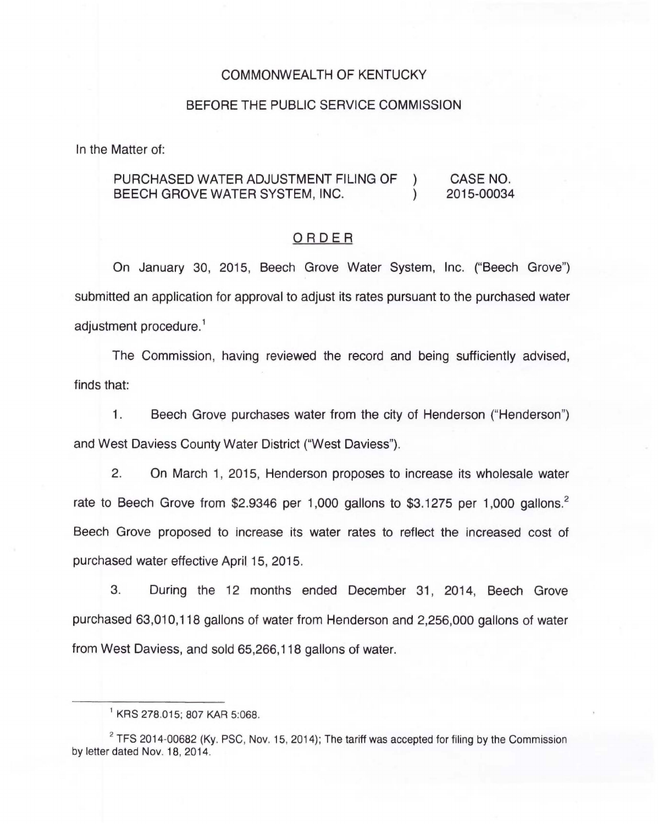## COMMONWEALTH OF KENTUCKY

### BEFORE THE PUBLIC SERVICE COMMISSION

In the Matter of:

#### PURCHASED WATER ADJUSTMENT FILING OF  $\left( \right)$ CASE NO. BEECH GROVE WATER SYSTEM, INC.  $\lambda$ 2015-00034

## ORDER

On January 30, 2015, Beech Grove Water System, Inc. ("Beech Grove") submitted an application for approval to adjust its rates pursuant to the purchased water adjustment procedure. 1

The Commission, having reviewed the record and being sufficiently advised, finds that:

1. Beech Grove purchases water from the city of Henderson ("Henderson") and West Daviess County Water District ("West Daviess").

2. On March 1, 2015, Henderson proposes to increase its wholesale water rate to Beech Grove from \$2.9346 per 1,000 gallons to \$3.1275 per 1,000 gallons.<sup>2</sup> Beech Grove proposed to increase its water rates to reflect the increased cost of purchased water effective April 15, 2015.

3. During the 12 months ended December 31, 2014, Beech Grove purchased 63,010,118 gallons of water from Henderson and 2,256,000 gallons of water from West Daviess, and sold 65,266,118 gallons of water.

 $2$  TFS 2014-00682 (Ky. PSC, Nov. 15, 2014); The tariff was accepted for filing by the Commission by letter dated Nov. 18, 2014.

<sup>1</sup>KRS 278.015; 807 KAR 5:068.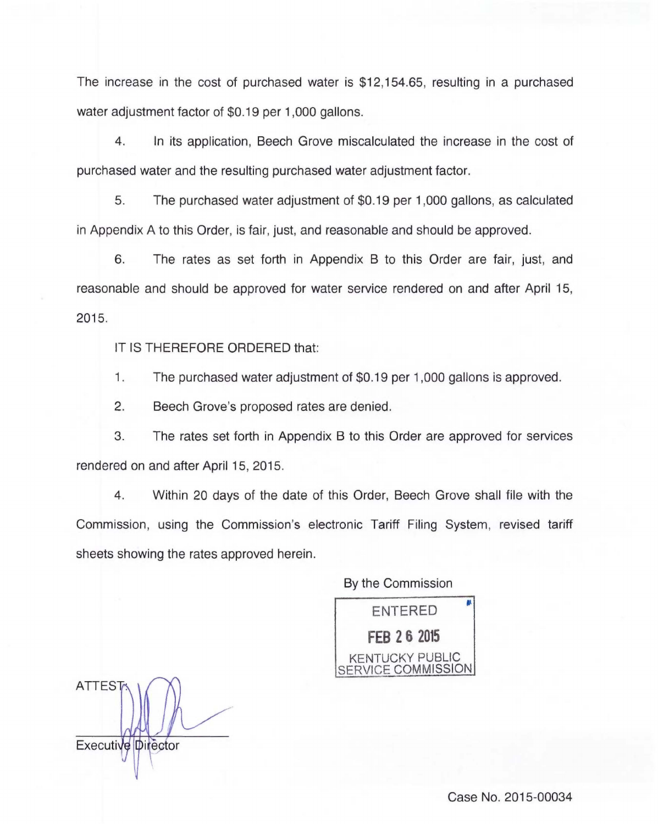The increase in the cost of purchased water is \$12,154.65, resulting in a purchased water adjustment factor of \$0.19 per 1,000 gallons.

4. In its application, Beech Grove miscalculated the increase in the cost of purchased water and the resulting purchased water adjustment factor.

5. The purchased water adjustment of \$0.19 per 1 ,000 gallons, as calculated in Appendix A to this Order, is fair, just, and reasonable and should be approved.

6. The rates as set forth in Appendix B to this Order are fair, just, and reasonable and should be approved for water service rendered on and after April 15, 2015.

IT IS THEREFORE ORDERED that:

1. The purchased water adjustment of \$0.19 per 1 ,000 gallons is approved.

2. Beech Grove's proposed rates are denied.

3. The rates set forth in Appendix B to this Order are approved for services rendered on and after April 15, 2015.

4. Within 20 days of the date of this Order, Beech Grove shall file with the Commission, using the Commission's electronic Tariff Filing System, revised tariff sheets showing the rates approved herein.

By the Commission

ENTERED ,. **FEB 2 6 2015**  KENTUCKY PUBLIC **FRVICE COMMISSION** 

**ATTEST** Executive Director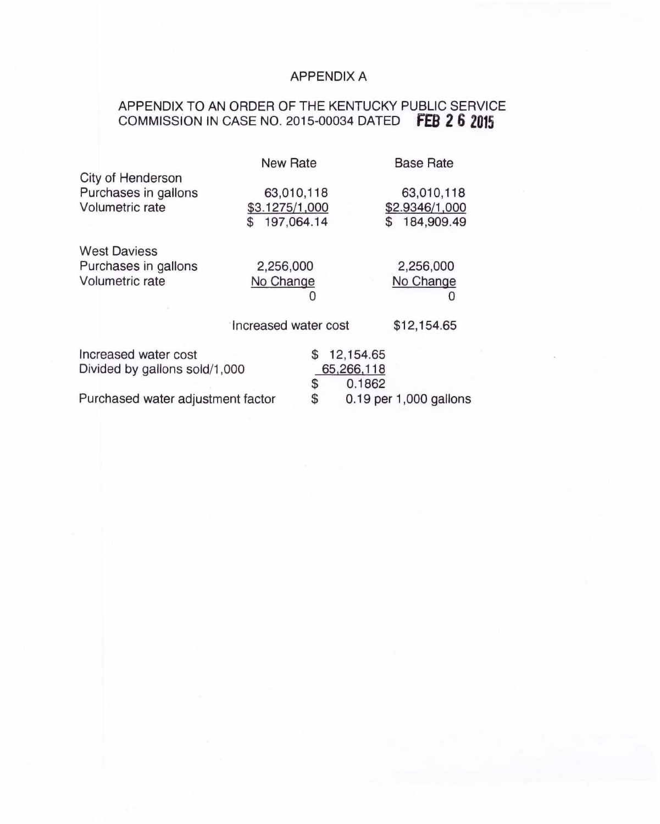# APPENDIX A

## APPENDIX TO AN ORDER OF THE KENTUCKY PUBLIC SERVICE COMMISSION IN CASE NO. 2015-00034 DATED **fEB 2 6 2015**

|                                   | <b>New Rate</b>      |                              | <b>Base Rate</b> |
|-----------------------------------|----------------------|------------------------------|------------------|
| City of Henderson                 |                      |                              |                  |
| Purchases in gallons              |                      | 63,010,118                   | 63,010,118       |
| Volumetric rate                   | \$3.1275/1,000       |                              | \$2.9346/1,000   |
|                                   | 197,064.14<br>\$.    |                              | \$<br>184,909.49 |
| <b>West Daviess</b>               |                      |                              |                  |
| Purchases in gallons              | 2,256,000            |                              | 2,256,000        |
| Volumetric rate                   | No Change            |                              | No Change        |
|                                   |                      |                              | U                |
|                                   |                      |                              |                  |
|                                   | Increased water cost |                              | \$12,154.65      |
| Increased water cost              |                      | 12,154.65<br>S               |                  |
| Divided by gallons sold/1,000     |                      | 65,266,118                   |                  |
|                                   |                      | \$                           | 0.1862           |
| Purchased water adjustment factor |                      | \$<br>0.19 per 1,000 gallons |                  |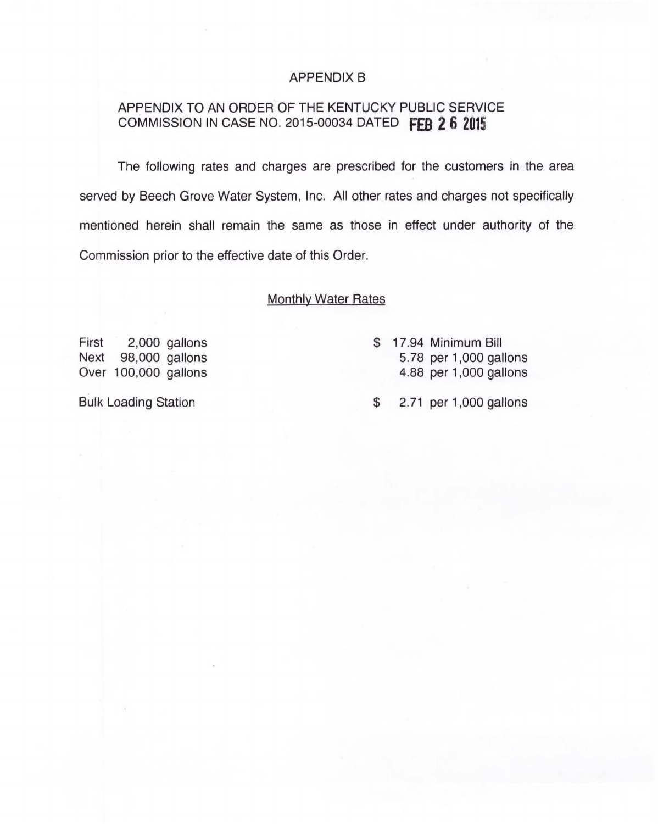## APPENDIX B

## APPENDIX TO AN ORDER OF THE KENTUCKY PUBLIC SERVICE COMMISSION IN CASE NO. 2015-00034 DATED **fEB 2 6 2015**

The following rates and charges are prescribed for the customers in the area served by Beech Grove Water System, Inc. All other rates and charges not specifically mentioned herein shall remain the same as those in effect under authority of the Commission prior to the effective date of this Order.

## Monthly Water Rates

First 2,000 gallons Next 98,000 gallons Over 100,000 gallons

Bulk Loading Station

- \$ 17.94 Minimum Bill 5. 78 per 1 ,000 gallons 4.88 per 1 ,000 gallons
- \$ 2. 71 per 1 ,000 gallons